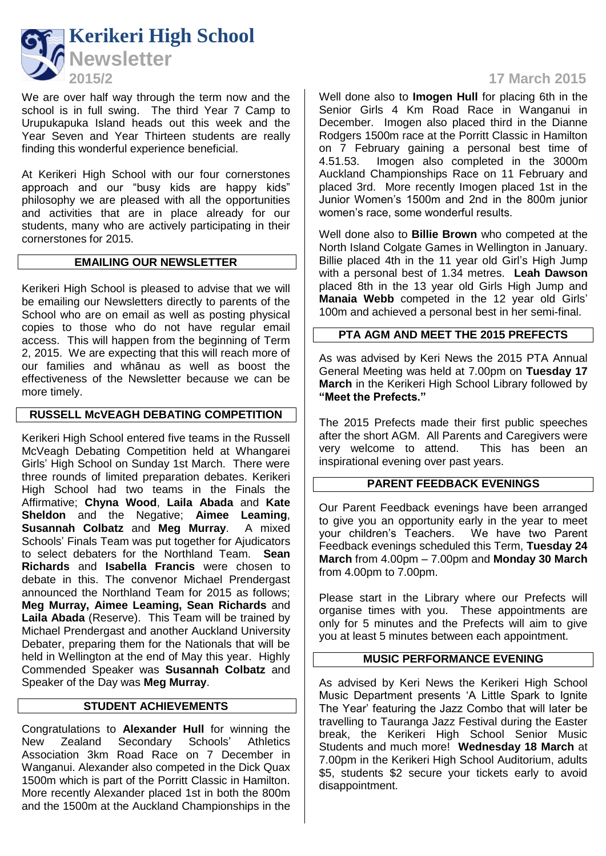

We are over half way through the term now and the school is in full swing. The third Year 7 Camp to Urupukapuka Island heads out this week and the Year Seven and Year Thirteen students are really finding this wonderful experience beneficial.

At Kerikeri High School with our four cornerstones approach and our "busy kids are happy kids" philosophy we are pleased with all the opportunities and activities that are in place already for our students, many who are actively participating in their cornerstones for 2015.

## **EMAILING OUR NEWSLETTER**

Kerikeri High School is pleased to advise that we will be emailing our Newsletters directly to parents of the School who are on email as well as posting physical copies to those who do not have regular email access. This will happen from the beginning of Term 2, 2015. We are expecting that this will reach more of our families and whānau as well as boost the effectiveness of the Newsletter because we can be more timely.

# **RUSSELL McVEAGH DEBATING COMPETITION**

Kerikeri High School entered five teams in the Russell McVeagh Debating Competition held at Whangarei Girls' High School on Sunday 1st March. There were three rounds of limited preparation debates. Kerikeri High School had two teams in the Finals the Affirmative; **Chyna Wood**, **Laila Abada** and **Kate Sheldon** and the Negative; **Aimee Leaming**, **Susannah Colbatz** and **Meg Murray**. A mixed Schools' Finals Team was put together for Ajudicators to select debaters for the Northland Team. **Sean Richards** and **Isabella Francis** were chosen to debate in this. The convenor Michael Prendergast announced the Northland Team for 2015 as follows; **Meg Murray, Aimee Leaming, Sean Richards** and **Laila Abada** (Reserve). This Team will be trained by Michael Prendergast and another Auckland University Debater, preparing them for the Nationals that will be held in Wellington at the end of May this year. Highly Commended Speaker was **Susannah Colbatz** and Speaker of the Day was **Meg Murray**.

## **STUDENT ACHIEVEMENTS**

Congratulations to **Alexander Hull** for winning the New Zealand Secondary Schools' Athletics Association 3km Road Race on 7 December in Wanganui. Alexander also competed in the Dick Quax 1500m which is part of the Porritt Classic in Hamilton. More recently Alexander placed 1st in both the 800m and the 1500m at the Auckland Championships in the

# **2015/2 17 March 2015**

Well done also to **Imogen Hull** for placing 6th in the Senior Girls 4 Km Road Race in Wanganui in December. Imogen also placed third in the Dianne Rodgers 1500m race at the Porritt Classic in Hamilton on 7 February gaining a personal best time of 4.51.53. Imogen also completed in the 3000m Imogen also completed in the 3000m Auckland Championships Race on 11 February and placed 3rd. More recently Imogen placed 1st in the Junior Women's 1500m and 2nd in the 800m junior women's race, some wonderful results.

Well done also to **Billie Brown** who competed at the North Island Colgate Games in Wellington in January. Billie placed 4th in the 11 year old Girl's High Jump with a personal best of 1.34 metres. **Leah Dawson** placed 8th in the 13 year old Girls High Jump and **Manaia Webb** competed in the 12 year old Girls' 100m and achieved a personal best in her semi-final.

## **PTA AGM AND MEET THE 2015 PREFECTS**

As was advised by Keri News the 2015 PTA Annual General Meeting was held at 7.00pm on **Tuesday 17 March** in the Kerikeri High School Library followed by **"Meet the Prefects."**

The 2015 Prefects made their first public speeches after the short AGM. All Parents and Caregivers were very welcome to attend. This has been an inspirational evening over past years.

#### **PARENT FEEDBACK EVENINGS**

Our Parent Feedback evenings have been arranged to give you an opportunity early in the year to meet your children's Teachers. We have two Parent Feedback evenings scheduled this Term, **Tuesday 24 March** from 4.00pm – 7.00pm and **Monday 30 March** from 4.00pm to 7.00pm.

Please start in the Library where our Prefects will organise times with you. These appointments are only for 5 minutes and the Prefects will aim to give you at least 5 minutes between each appointment.

#### **MUSIC PERFORMANCE EVENING**

As advised by Keri News the Kerikeri High School Music Department presents 'A Little Spark to Ignite The Year' featuring the Jazz Combo that will later be travelling to Tauranga Jazz Festival during the Easter break, the Kerikeri High School Senior Music Students and much more! **Wednesday 18 March** at 7.00pm in the Kerikeri High School Auditorium, adults \$5, students \$2 secure your tickets early to avoid disappointment.